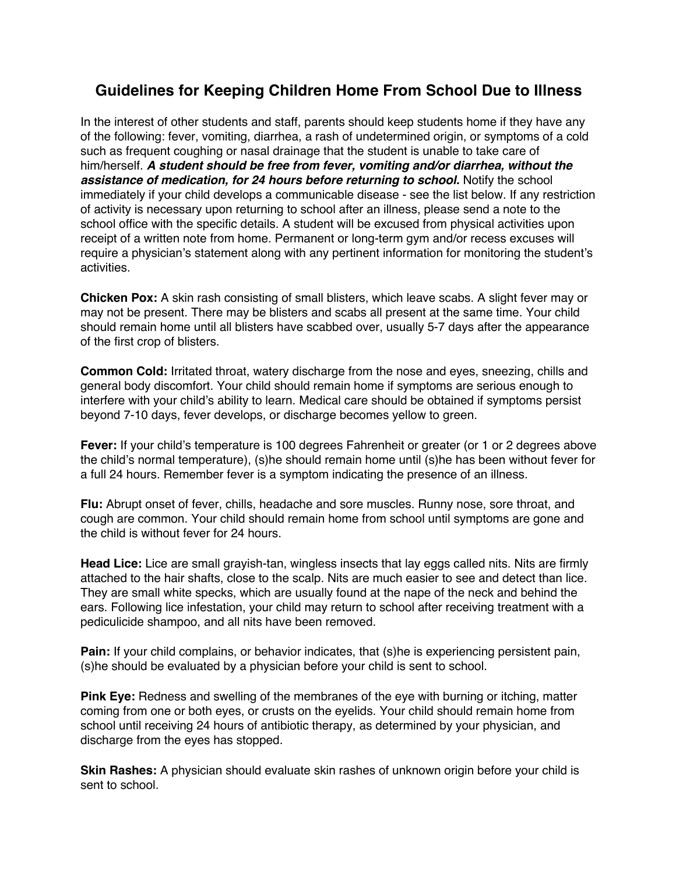## **Guidelines for Keeping Children Home From School Due to Illness**

In the interest of other students and staff, parents should keep students home if they have any of the following: fever, vomiting, diarrhea, a rash of undetermined origin, or symptoms of a cold such as frequent coughing or nasal drainage that the student is unable to take care of him/herself. *A student should be free from fever, vomiting and/or diarrhea, without the*  **assistance of medication, for 24 hours before returning to school.** Notify the school immediately if your child develops a communicable disease - see the list below. If any restriction of activity is necessary upon returning to school after an illness, please send a note to the school office with the specific details. A student will be excused from physical activities upon receipt of a written note from home. Permanent or long-term gym and/or recess excuses will require a physician's statement along with any pertinent information for monitoring the student's activities.

**Chicken Pox:** A skin rash consisting of small blisters, which leave scabs. A slight fever may or may not be present. There may be blisters and scabs all present at the same time. Your child should remain home until all blisters have scabbed over, usually 5-7 days after the appearance of the first crop of blisters.

**Common Cold:** Irritated throat, watery discharge from the nose and eyes, sneezing, chills and general body discomfort. Your child should remain home if symptoms are serious enough to interfere with your child's ability to learn. Medical care should be obtained if symptoms persist beyond 7-10 days, fever develops, or discharge becomes yellow to green.

**Fever:** If your child's temperature is 100 degrees Fahrenheit or greater (or 1 or 2 degrees above the child's normal temperature), (s)he should remain home until (s)he has been without fever for a full 24 hours. Remember fever is a symptom indicating the presence of an illness.

**Flu:** Abrupt onset of fever, chills, headache and sore muscles. Runny nose, sore throat, and cough are common. Your child should remain home from school until symptoms are gone and the child is without fever for 24 hours.

**Head Lice:** Lice are small grayish-tan, wingless insects that lay eggs called nits. Nits are firmly attached to the hair shafts, close to the scalp. Nits are much easier to see and detect than lice. They are small white specks, which are usually found at the nape of the neck and behind the ears. Following lice infestation, your child may return to school after receiving treatment with a pediculicide shampoo, and all nits have been removed.

**Pain:** If your child complains, or behavior indicates, that (s)he is experiencing persistent pain, (s)he should be evaluated by a physician before your child is sent to school.

**Pink Eye:** Redness and swelling of the membranes of the eye with burning or itching, matter coming from one or both eyes, or crusts on the eyelids. Your child should remain home from school until receiving 24 hours of antibiotic therapy, as determined by your physician, and discharge from the eyes has stopped.

**Skin Rashes:** A physician should evaluate skin rashes of unknown origin before your child is sent to school